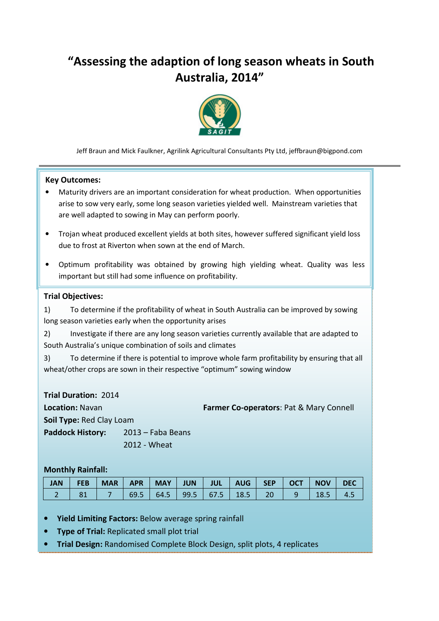# "Assessing the adaption of long season wheats in South Australia, 2014"



Jeff Braun and Mick Faulkner, Agrilink Agricultural Consultants Pty Ltd, jeffbraun@bigpond.com

#### Key Outcomes:

- Maturity drivers are an important consideration for wheat production. When opportunities arise to sow very early, some long season varieties yielded well. Mainstream varieties that are well adapted to sowing in May can perform poorly.
- Trojan wheat produced excellent yields at both sites, however suffered significant yield loss due to frost at Riverton when sown at the end of March.
- Optimum profitability was obtained by growing high yielding wheat. Quality was less important but still had some influence on profitability.

#### Trial Objectives:

1) To determine if the profitability of wheat in South Australia can be improved by sowing long season varieties early when the opportunity arises

2) Investigate if there are any long season varieties currently available that are adapted to South Australia's unique combination of soils and climates

3) To determine if there is potential to improve whole farm profitability by ensuring that all wheat/other crops are sown in their respective "optimum" sowing window

Trial Duration: 2014 **Location: Navan Farmer Co-operators: Pat & Mary Connell Farmer Co-operators: Pat & Mary Connell** Soil Type: Red Clay Loam Paddock History: 2013 – Faba Beans 2012 - Wheat

#### Monthly Rainfall:

| <b>JAN</b> | <b>FEB</b> | <b>MAR</b> | <b>APR</b> |  | MAY   JUN   JUL   AUG   SEP   OCT  |                                  | <b>NOV</b> | <b>DEC</b> |
|------------|------------|------------|------------|--|------------------------------------|----------------------------------|------------|------------|
|            |            |            |            |  | $69.5$   64.5   99.5   67.5   18.5 | $\blacksquare$ 20 $\blacksquare$ | - 18.5     | 4.5        |

- Yield Limiting Factors: Below average spring rainfall
- **Type of Trial: Replicated small plot trial**
- Trial Design: Randomised Complete Block Design, split plots, 4 replicates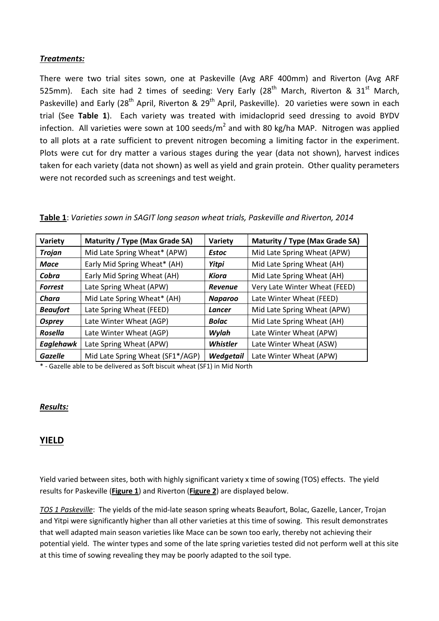## Treatments:

There were two trial sites sown, one at Paskeville (Avg ARF 400mm) and Riverton (Avg ARF 525mm). Each site had 2 times of seeding: Very Early (28<sup>th</sup> March, Riverton & 31<sup>st</sup> March, Paskeville) and Early (28<sup>th</sup> April, Riverton & 29<sup>th</sup> April, Paskeville). 20 varieties were sown in each trial (See Table 1). Each variety was treated with imidacloprid seed dressing to avoid BYDV infection. All varieties were sown at 100 seeds/m<sup>2</sup> and with 80 kg/ha MAP. Nitrogen was applied to all plots at a rate sufficient to prevent nitrogen becoming a limiting factor in the experiment. Plots were cut for dry matter a various stages during the year (data not shown), harvest indices taken for each variety (data not shown) as well as yield and grain protein. Other quality perameters were not recorded such as screenings and test weight.

Table 1: Varieties sown in SAGIT long season wheat trials, Paskeville and Riverton, 2014

| Variety          | Maturity / Type (Max Grade SA)   | Variety        | Maturity / Type (Max Grade SA) |  |  |
|------------------|----------------------------------|----------------|--------------------------------|--|--|
| <b>Trojan</b>    | Mid Late Spring Wheat* (APW)     | <b>Estoc</b>   | Mid Late Spring Wheat (APW)    |  |  |
| <b>Mace</b>      | Early Mid Spring Wheat* (AH)     |                | Mid Late Spring Wheat (AH)     |  |  |
| Cobra            | Early Mid Spring Wheat (AH)      | Kiora          | Mid Late Spring Wheat (AH)     |  |  |
| <b>Forrest</b>   | Late Spring Wheat (APW)          | <b>Revenue</b> | Very Late Winter Wheat (FEED)  |  |  |
| Chara            | Mid Late Spring Wheat* (AH)      | <b>Naparoo</b> | Late Winter Wheat (FEED)       |  |  |
| <b>Beaufort</b>  | Late Spring Wheat (FEED)         | Lancer         | Mid Late Spring Wheat (APW)    |  |  |
| <b>Osprey</b>    | Late Winter Wheat (AGP)          | <b>Bolac</b>   | Mid Late Spring Wheat (AH)     |  |  |
| <b>Rosella</b>   | Late Winter Wheat (AGP)          | Wylah          | Late Winter Wheat (APW)        |  |  |
| <b>Eaglehawk</b> | Late Spring Wheat (APW)          | Whistler       | Late Winter Wheat (ASW)        |  |  |
| Gazelle          | Mid Late Spring Wheat (SF1*/AGP) | Wedgetail      | Late Winter Wheat (APW)        |  |  |

\* - Gazelle able to be delivered as Soft biscuit wheat (SF1) in Mid North

#### Results:

## YIELD

Yield varied between sites, both with highly significant variety x time of sowing (TOS) effects. The yield results for Paskeville (Figure 1) and Riverton (Figure 2) are displayed below.

TOS 1 Paskeville: The yields of the mid-late season spring wheats Beaufort, Bolac, Gazelle, Lancer, Trojan and Yitpi were significantly higher than all other varieties at this time of sowing. This result demonstrates that well adapted main season varieties like Mace can be sown too early, thereby not achieving their potential yield. The winter types and some of the late spring varieties tested did not perform well at this site at this time of sowing revealing they may be poorly adapted to the soil type.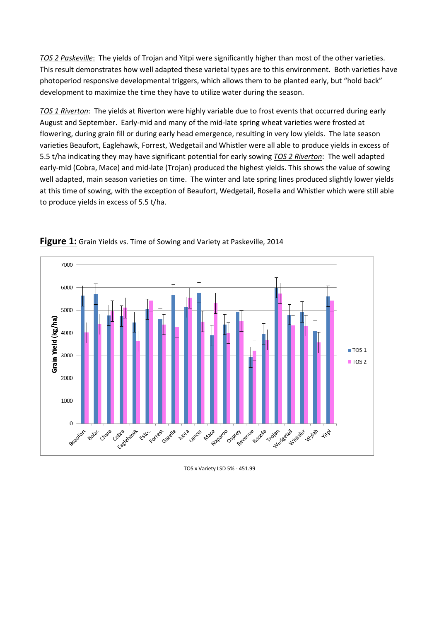TOS 2 Paskeville: The yields of Trojan and Yitpi were significantly higher than most of the other varieties. This result demonstrates how well adapted these varietal types are to this environment. Both varieties have photoperiod responsive developmental triggers, which allows them to be planted early, but "hold back" development to maximize the time they have to utilize water during the season.

TOS 1 Riverton: The yields at Riverton were highly variable due to frost events that occurred during early August and September. Early-mid and many of the mid-late spring wheat varieties were frosted at flowering, during grain fill or during early head emergence, resulting in very low yields. The late season varieties Beaufort, Eaglehawk, Forrest, Wedgetail and Whistler were all able to produce yields in excess of 5.5 t/ha indicating they may have significant potential for early sowing TOS 2 Riverton: The well adapted early-mid (Cobra, Mace) and mid-late (Trojan) produced the highest yields. This shows the value of sowing well adapted, main season varieties on time. The winter and late spring lines produced slightly lower yields at this time of sowing, with the exception of Beaufort, Wedgetail, Rosella and Whistler which were still able to produce yields in excess of 5.5 t/ha.



Figure 1: Grain Yields vs. Time of Sowing and Variety at Paskeville, 2014

TOS x Variety LSD 5% - 451.99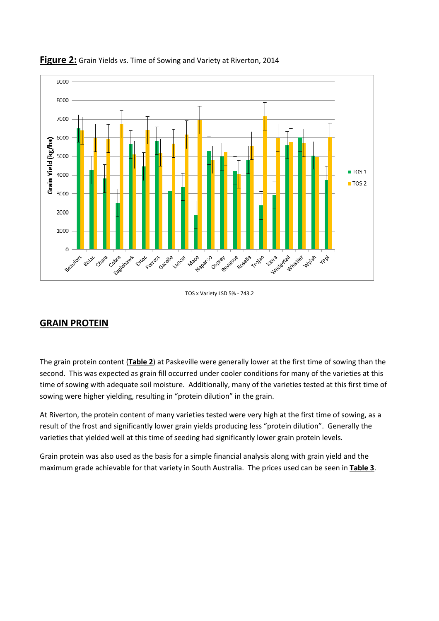

#### Figure 2: Grain Yields vs. Time of Sowing and Variety at Riverton, 2014

TOS x Variety LSD 5% - 743.2

# GRAIN PROTEIN

The grain protein content (Table 2) at Paskeville were generally lower at the first time of sowing than the second. This was expected as grain fill occurred under cooler conditions for many of the varieties at this time of sowing with adequate soil moisture. Additionally, many of the varieties tested at this first time of sowing were higher yielding, resulting in "protein dilution" in the grain.

At Riverton, the protein content of many varieties tested were very high at the first time of sowing, as a result of the frost and significantly lower grain yields producing less "protein dilution". Generally the varieties that yielded well at this time of seeding had significantly lower grain protein levels.

Grain protein was also used as the basis for a simple financial analysis along with grain yield and the maximum grade achievable for that variety in South Australia. The prices used can be seen in Table 3.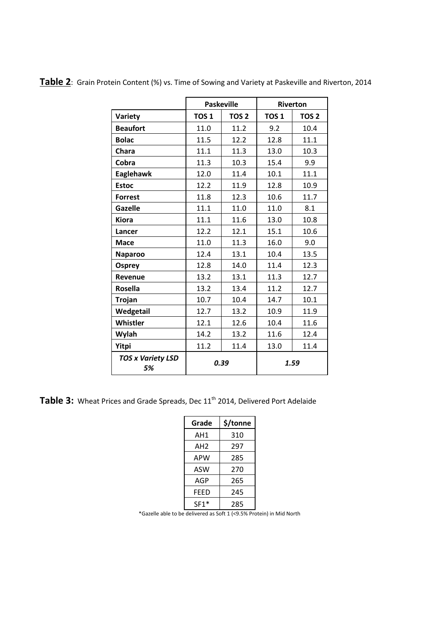|                                | <b>Paskeville</b> |                  | Riverton         |                  |  |
|--------------------------------|-------------------|------------------|------------------|------------------|--|
| Variety                        | TOS <sub>1</sub>  | TOS <sub>2</sub> | TOS <sub>1</sub> | TOS <sub>2</sub> |  |
| <b>Beaufort</b>                | 11.0              | 11.2             | 9.2              | 10.4             |  |
| <b>Bolac</b>                   | 11.5              | 12.2             | 12.8             | 11.1             |  |
| Chara                          | 11.1              | 11.3             | 13.0             | 10.3             |  |
| Cobra                          | 11.3              | 10.3             | 15.4             | 9.9              |  |
| Eaglehawk                      | 12.0              | 11.4             | 10.1             | 11.1             |  |
| <b>Estoc</b>                   | 12.2              | 11.9             | 12.8             | 10.9             |  |
| <b>Forrest</b>                 | 11.8              | 12.3             | 10.6             | 11.7             |  |
| <b>Gazelle</b>                 | 11.1              | 11.0             | 11.0             | 8.1              |  |
| <b>Kiora</b>                   | 11.1              | 11.6             | 13.0             | 10.8             |  |
| Lancer                         | 12.2              | 12.1             | 15.1             | 10.6             |  |
| <b>Mace</b>                    | 11.0              | 11.3             | 16.0             | 9.0              |  |
| <b>Naparoo</b>                 | 12.4              | 13.1             | 10.4             | 13.5             |  |
| <b>Osprey</b>                  | 12.8              | 14.0             | 11.4             | 12.3             |  |
| <b>Revenue</b>                 | 13.2              | 13.1             | 11.3             | 12.7             |  |
| <b>Rosella</b>                 | 13.2              | 13.4             | 11.2             | 12.7             |  |
| <b>Trojan</b>                  | 10.7              | 10.4             | 14.7             | 10.1             |  |
| Wedgetail                      | 12.7              | 13.2             | 10.9             | 11.9             |  |
| Whistler                       | 12.1              | 12.6             | 10.4             | 11.6             |  |
| Wylah                          | 14.2              | 13.2             | 11.6             | 12.4             |  |
| <b>Yitpi</b>                   | 11.2              | 11.4             | 13.0             | 11.4             |  |
| <b>TOS x Variety LSD</b><br>5% |                   | 0.39             | 1.59             |                  |  |

Table 2: Grain Protein Content (%) vs. Time of Sowing and Variety at Paskeville and Riverton, 2014

Table 3: Wheat Prices and Grade Spreads, Dec 11<sup>th</sup> 2014, Delivered Port Adelaide

| Grade  | \$/tonne |  |  |
|--------|----------|--|--|
| AH1    | 310      |  |  |
| AH2    | 297      |  |  |
| APW    | 285      |  |  |
| ASW    | 270      |  |  |
| AGP    | 265      |  |  |
| FEED   | 245      |  |  |
| $SF1*$ | 285      |  |  |

\*Gazelle able to be delivered as Soft 1 (<9.5% Protein) in Mid North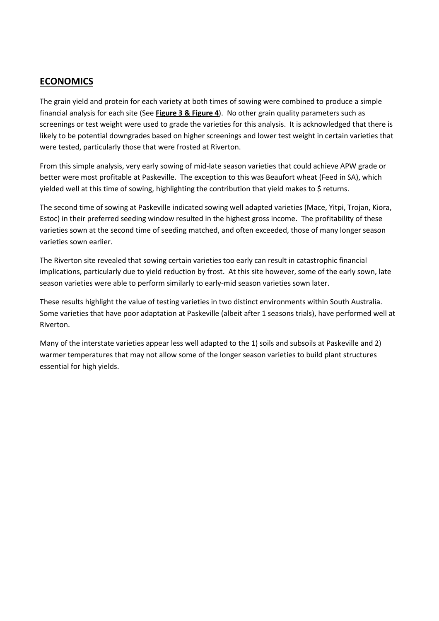## ECONOMICS

The grain yield and protein for each variety at both times of sowing were combined to produce a simple financial analysis for each site (See Figure 3 & Figure 4). No other grain quality parameters such as screenings or test weight were used to grade the varieties for this analysis. It is acknowledged that there is likely to be potential downgrades based on higher screenings and lower test weight in certain varieties that were tested, particularly those that were frosted at Riverton.

From this simple analysis, very early sowing of mid-late season varieties that could achieve APW grade or better were most profitable at Paskeville. The exception to this was Beaufort wheat (Feed in SA), which yielded well at this time of sowing, highlighting the contribution that yield makes to \$ returns.

The second time of sowing at Paskeville indicated sowing well adapted varieties (Mace, Yitpi, Trojan, Kiora, Estoc) in their preferred seeding window resulted in the highest gross income. The profitability of these varieties sown at the second time of seeding matched, and often exceeded, those of many longer season varieties sown earlier.

The Riverton site revealed that sowing certain varieties too early can result in catastrophic financial implications, particularly due to yield reduction by frost. At this site however, some of the early sown, late season varieties were able to perform similarly to early-mid season varieties sown later.

These results highlight the value of testing varieties in two distinct environments within South Australia. Some varieties that have poor adaptation at Paskeville (albeit after 1 seasons trials), have performed well at Riverton.

Many of the interstate varieties appear less well adapted to the 1) soils and subsoils at Paskeville and 2) warmer temperatures that may not allow some of the longer season varieties to build plant structures essential for high yields.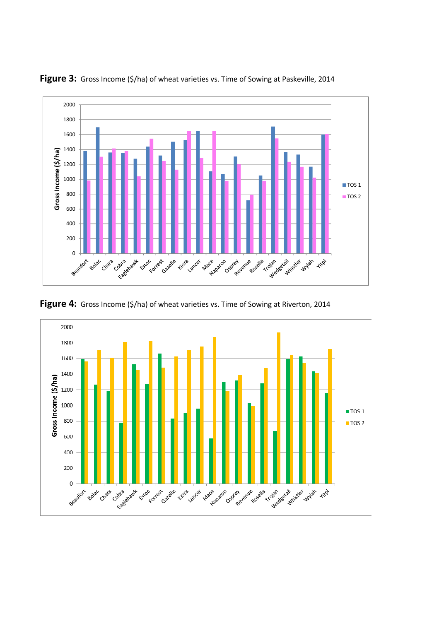

Figure 3: Gross Income (\$/ha) of wheat varieties vs. Time of Sowing at Paskeville, 2014

Figure 4: Gross Income (\$/ha) of wheat varieties vs. Time of Sowing at Riverton, 2014